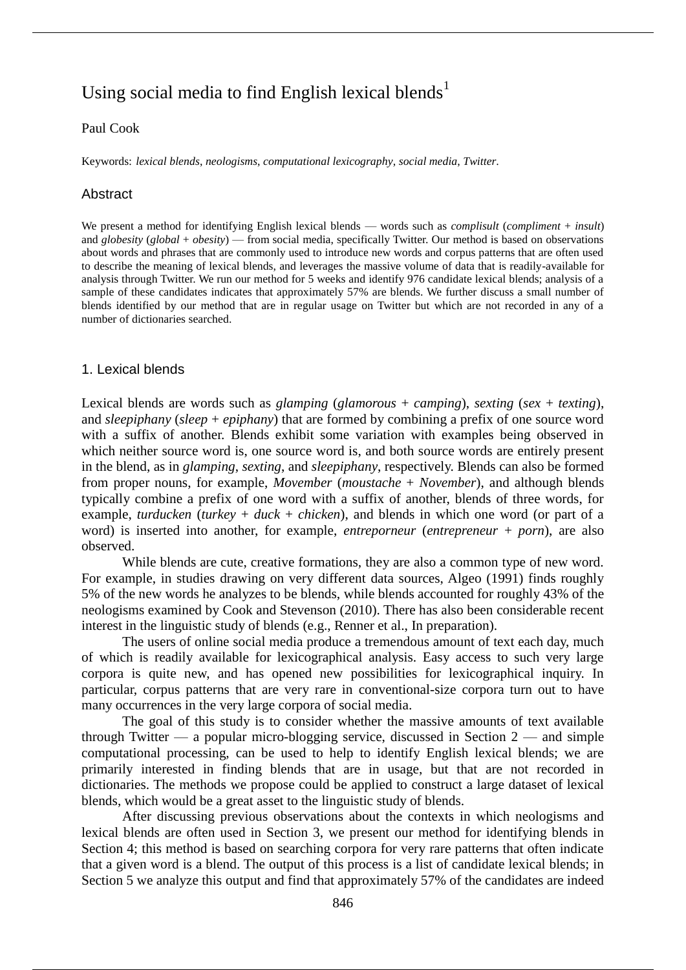# Using social media to find English lexical blends<sup>1</sup>

## Paul Cook

Keywords: *lexical blends*, *neologisms*, *computational lexicography*, *social media*, *Twitter*.

## Abstract

We present a method for identifying English lexical blends — words such as *complisult* (*compliment* + *insult*) and *globesity* (*global* + *obesity*) — from social media, specifically Twitter. Our method is based on observations about words and phrases that are commonly used to introduce new words and corpus patterns that are often used to describe the meaning of lexical blends, and leverages the massive volume of data that is readily-available for analysis through Twitter. We run our method for 5 weeks and identify 976 candidate lexical blends; analysis of a sample of these candidates indicates that approximately 57% are blends. We further discuss a small number of blends identified by our method that are in regular usage on Twitter but which are not recorded in any of a number of dictionaries searched.

### 1. Lexical blends

Lexical blends are words such as *glamping* (*glamorous* + *camping*), *sexting* (*sex* + *texting*), and *sleepiphany* (*sleep* + *epiphany*) that are formed by combining a prefix of one source word with a suffix of another. Blends exhibit some variation with examples being observed in which neither source word is, one source word is, and both source words are entirely present in the blend, as in *glamping*, *sexting*, and *sleepiphany*, respectively. Blends can also be formed from proper nouns, for example, *Movember* (*moustache* + *November*), and although blends typically combine a prefix of one word with a suffix of another, blends of three words, for example, *turducken* (*turkey* + *duck* + *chicken*), and blends in which one word (or part of a word) is inserted into another, for example, *entreporneur* (*entrepreneur* + *porn*), are also observed.

While blends are cute, creative formations, they are also a common type of new word. For example, in studies drawing on very different data sources, Algeo (1991) finds roughly 5% of the new words he analyzes to be blends, while blends accounted for roughly 43% of the neologisms examined by Cook and Stevenson (2010). There has also been considerable recent interest in the linguistic study of blends (e.g., Renner et al., In preparation).

The users of online social media produce a tremendous amount of text each day, much of which is readily available for lexicographical analysis. Easy access to such very large corpora is quite new, and has opened new possibilities for lexicographical inquiry. In particular, corpus patterns that are very rare in conventional-size corpora turn out to have many occurrences in the very large corpora of social media.

The goal of this study is to consider whether the massive amounts of text available through Twitter — a popular micro-blogging service, discussed in Section  $2$  — and simple computational processing, can be used to help to identify English lexical blends; we are primarily interested in finding blends that are in usage, but that are not recorded in dictionaries. The methods we propose could be applied to construct a large dataset of lexical blends, which would be a great asset to the linguistic study of blends.

After discussing previous observations about the contexts in which neologisms and lexical blends are often used in Section 3, we present our method for identifying blends in Section 4; this method is based on searching corpora for very rare patterns that often indicate that a given word is a blend. The output of this process is a list of candidate lexical blends; in Section 5 we analyze this output and find that approximately 57% of the candidates are indeed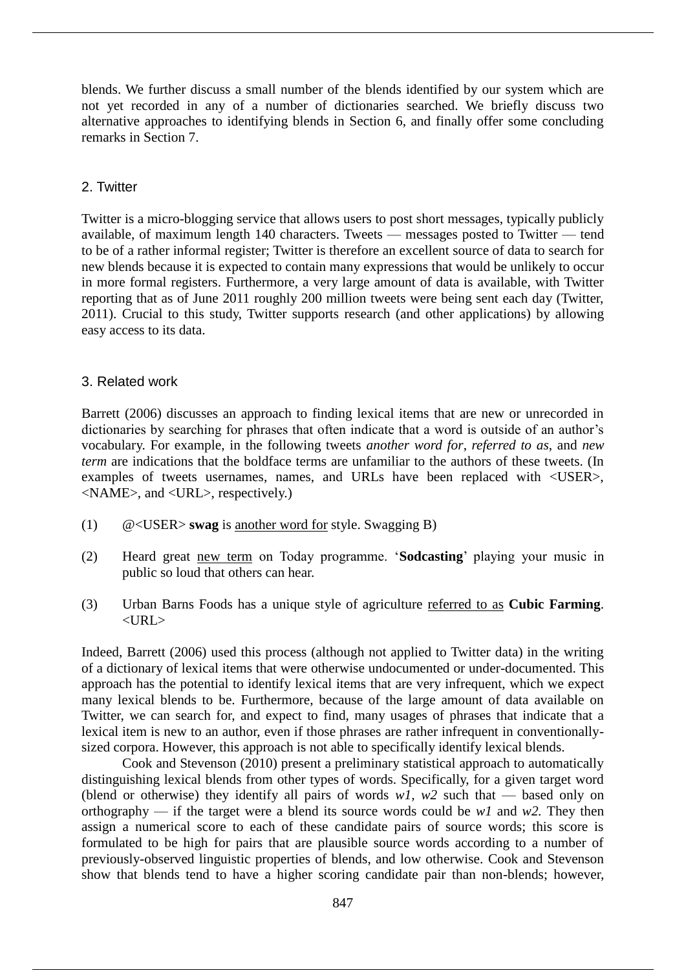blends. We further discuss a small number of the blends identified by our system which are not yet recorded in any of a number of dictionaries searched. We briefly discuss two alternative approaches to identifying blends in Section 6, and finally offer some concluding remarks in Section 7.

# 2. Twitter

Twitter is a micro-blogging service that allows users to post short messages, typically publicly available, of maximum length 140 characters. Tweets — messages posted to Twitter — tend to be of a rather informal register; Twitter is therefore an excellent source of data to search for new blends because it is expected to contain many expressions that would be unlikely to occur in more formal registers. Furthermore, a very large amount of data is available, with Twitter reporting that as of June 2011 roughly 200 million tweets were being sent each day (Twitter, 2011). Crucial to this study, Twitter supports research (and other applications) by allowing easy access to its data.

# 3. Related work

Barrett (2006) discusses an approach to finding lexical items that are new or unrecorded in dictionaries by searching for phrases that often indicate that a word is outside of an author's vocabulary. For example, in the following tweets *another word for*, *referred to as*, and *new term* are indications that the boldface terms are unfamiliar to the authors of these tweets. (In examples of tweets usernames, names, and URLs have been replaced with <USER>, <NAME>, and <URL>, respectively.)

- (1) @<USER> **swag** is another word for style. Swagging B)
- (2) Heard great new term on Today programme. '**Sodcasting**' playing your music in public so loud that others can hear.
- (3) Urban Barns Foods has a unique style of agriculture referred to as **Cubic Farming**.  $<$ URL $>$

Indeed, Barrett (2006) used this process (although not applied to Twitter data) in the writing of a dictionary of lexical items that were otherwise undocumented or under-documented. This approach has the potential to identify lexical items that are very infrequent, which we expect many lexical blends to be. Furthermore, because of the large amount of data available on Twitter, we can search for, and expect to find, many usages of phrases that indicate that a lexical item is new to an author, even if those phrases are rather infrequent in conventionallysized corpora. However, this approach is not able to specifically identify lexical blends.

Cook and Stevenson (2010) present a preliminary statistical approach to automatically distinguishing lexical blends from other types of words. Specifically, for a given target word (blend or otherwise) they identify all pairs of words  $w1$ ,  $w2$  such that — based only on orthography — if the target were a blend its source words could be *w1* and *w2.* They then assign a numerical score to each of these candidate pairs of source words; this score is formulated to be high for pairs that are plausible source words according to a number of previously-observed linguistic properties of blends, and low otherwise. Cook and Stevenson show that blends tend to have a higher scoring candidate pair than non-blends; however,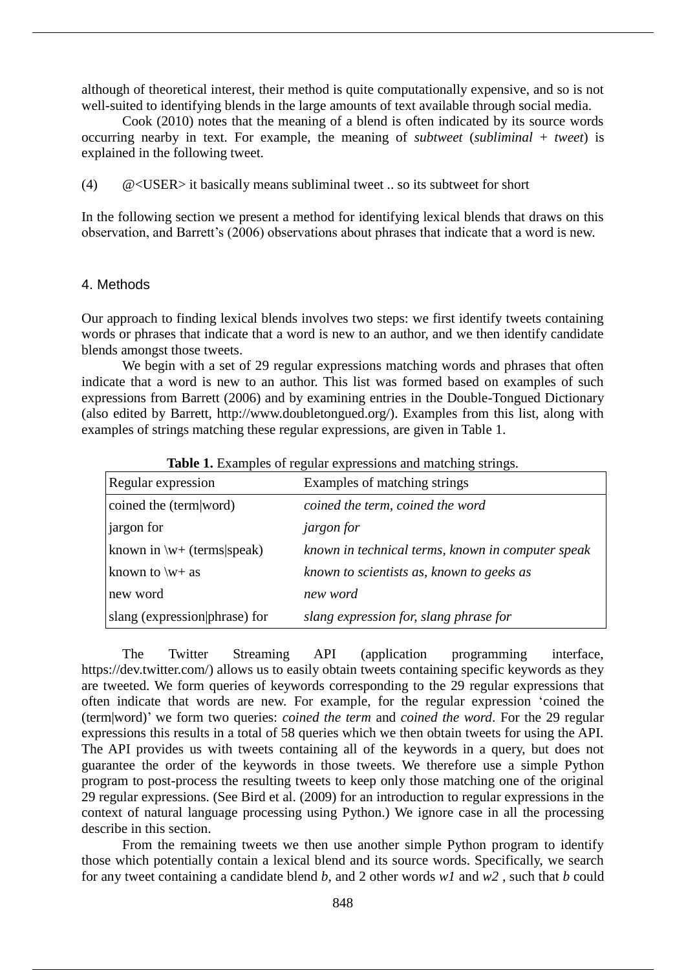although of theoretical interest, their method is quite computationally expensive, and so is not well-suited to identifying blends in the large amounts of text available through social media.

Cook (2010) notes that the meaning of a blend is often indicated by its source words occurring nearby in text. For example, the meaning of *subtweet* (*subliminal* + *tweet*) is explained in the following tweet.

(4) @<USER> it basically means subliminal tweet .. so its subtweet for short

In the following section we present a method for identifying lexical blends that draws on this observation, and Barrett's (2006) observations about phrases that indicate that a word is new.

#### 4. Methods

Our approach to finding lexical blends involves two steps: we first identify tweets containing words or phrases that indicate that a word is new to an author, and we then identify candidate blends amongst those tweets.

We begin with a set of 29 regular expressions matching words and phrases that often indicate that a word is new to an author. This list was formed based on examples of such expressions from Barrett (2006) and by examining entries in the Double-Tongued Dictionary (also edited by Barrett, http://www.doubletongued.org/). Examples from this list, along with examples of strings matching these regular expressions, are given in Table 1.

| <b>THOIC I</b> EAUTHPRO OF TURNING UNDERSTOINS WHY HIMICHING SUITINGS. |                                                   |
|------------------------------------------------------------------------|---------------------------------------------------|
| Regular expression                                                     | Examples of matching strings                      |
| coined the (term word)                                                 | coined the term, coined the word                  |
| <i>i</i> argon for                                                     | <i>jargon for</i>                                 |
| known in $\wedge w +$ (terms speak)                                    | known in technical terms, known in computer speak |
| known to $\wedge w + as$                                               | known to scientists as, known to geeks as         |
| new word                                                               | new word                                          |
| slang (expression phrase) for                                          | slang expression for, slang phrase for            |

**Table 1.** Examples of regular expressions and matching strings.

The Twitter Streaming API (application programming interface, https://dev.twitter.com/) allows us to easily obtain tweets containing specific keywords as they are tweeted. We form queries of keywords corresponding to the 29 regular expressions that often indicate that words are new. For example, for the regular expression 'coined the (term|word)' we form two queries: *coined the term* and *coined the word*. For the 29 regular expressions this results in a total of 58 queries which we then obtain tweets for using the API. The API provides us with tweets containing all of the keywords in a query, but does not guarantee the order of the keywords in those tweets. We therefore use a simple Python program to post-process the resulting tweets to keep only those matching one of the original 29 regular expressions. (See Bird et al. (2009) for an introduction to regular expressions in the context of natural language processing using Python.) We ignore case in all the processing describe in this section.

From the remaining tweets we then use another simple Python program to identify those which potentially contain a lexical blend and its source words. Specifically, we search for any tweet containing a candidate blend *b*, and 2 other words *w1* and *w2* , such that *b* could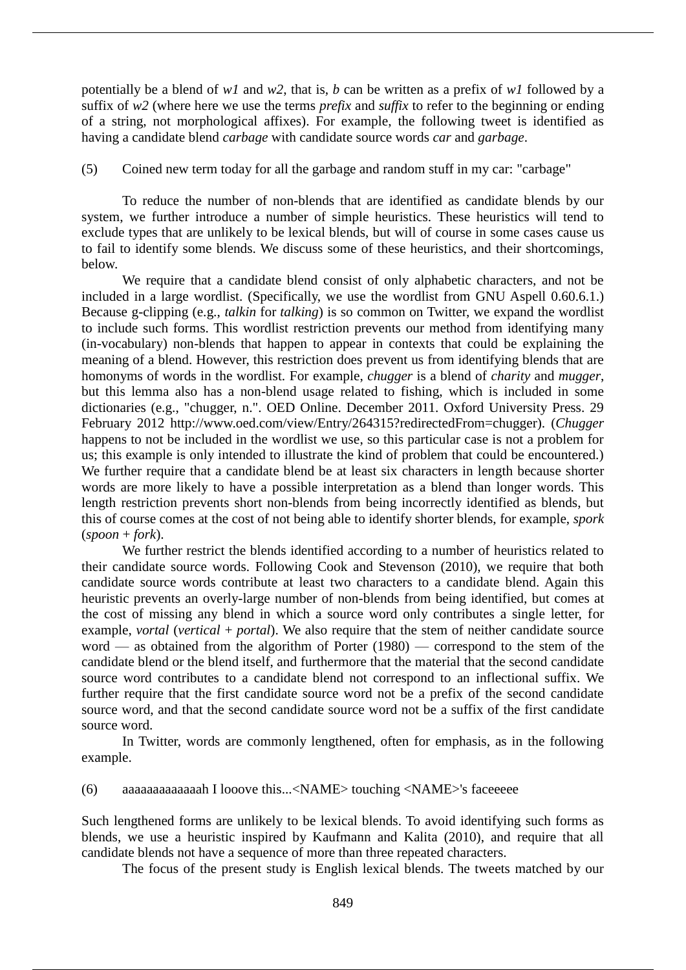potentially be a blend of *w1* and *w2*, that is, *b* can be written as a prefix of *w1* followed by a suffix of *w2* (where here we use the terms *prefix* and *suffix* to refer to the beginning or ending of a string, not morphological affixes). For example, the following tweet is identified as having a candidate blend *carbage* with candidate source words *car* and *garbage*.

(5) Coined new term today for all the garbage and random stuff in my car: "carbage"

To reduce the number of non-blends that are identified as candidate blends by our system, we further introduce a number of simple heuristics. These heuristics will tend to exclude types that are unlikely to be lexical blends, but will of course in some cases cause us to fail to identify some blends. We discuss some of these heuristics, and their shortcomings, below.

We require that a candidate blend consist of only alphabetic characters, and not be included in a large wordlist. (Specifically, we use the wordlist from GNU Aspell 0.60.6.1.) Because g-clipping (e.g., *talkin* for *talking*) is so common on Twitter, we expand the wordlist to include such forms. This wordlist restriction prevents our method from identifying many (in-vocabulary) non-blends that happen to appear in contexts that could be explaining the meaning of a blend. However, this restriction does prevent us from identifying blends that are homonyms of words in the wordlist. For example, *chugger* is a blend of *charity* and *mugger*, but this lemma also has a non-blend usage related to fishing, which is included in some dictionaries (e.g., "chugger, n.". OED Online. December 2011. Oxford University Press. 29 February 2012 http://www.oed.com/view/Entry/264315?redirectedFrom=chugger). (*Chugger* happens to not be included in the wordlist we use, so this particular case is not a problem for us; this example is only intended to illustrate the kind of problem that could be encountered.) We further require that a candidate blend be at least six characters in length because shorter words are more likely to have a possible interpretation as a blend than longer words. This length restriction prevents short non-blends from being incorrectly identified as blends, but this of course comes at the cost of not being able to identify shorter blends, for example, *spork* (*spoon* + *fork*).

We further restrict the blends identified according to a number of heuristics related to their candidate source words. Following Cook and Stevenson (2010), we require that both candidate source words contribute at least two characters to a candidate blend. Again this heuristic prevents an overly-large number of non-blends from being identified, but comes at the cost of missing any blend in which a source word only contributes a single letter, for example, *vortal* (*vertical* + *portal*). We also require that the stem of neither candidate source word — as obtained from the algorithm of Porter (1980) — correspond to the stem of the candidate blend or the blend itself, and furthermore that the material that the second candidate source word contributes to a candidate blend not correspond to an inflectional suffix. We further require that the first candidate source word not be a prefix of the second candidate source word, and that the second candidate source word not be a suffix of the first candidate source word.

In Twitter, words are commonly lengthened, often for emphasis, as in the following example.

(6) aaaaaaaaaaaaah I looove this...<NAME> touching <NAME>'s faceeeee

Such lengthened forms are unlikely to be lexical blends. To avoid identifying such forms as blends, we use a heuristic inspired by Kaufmann and Kalita (2010), and require that all candidate blends not have a sequence of more than three repeated characters.

The focus of the present study is English lexical blends. The tweets matched by our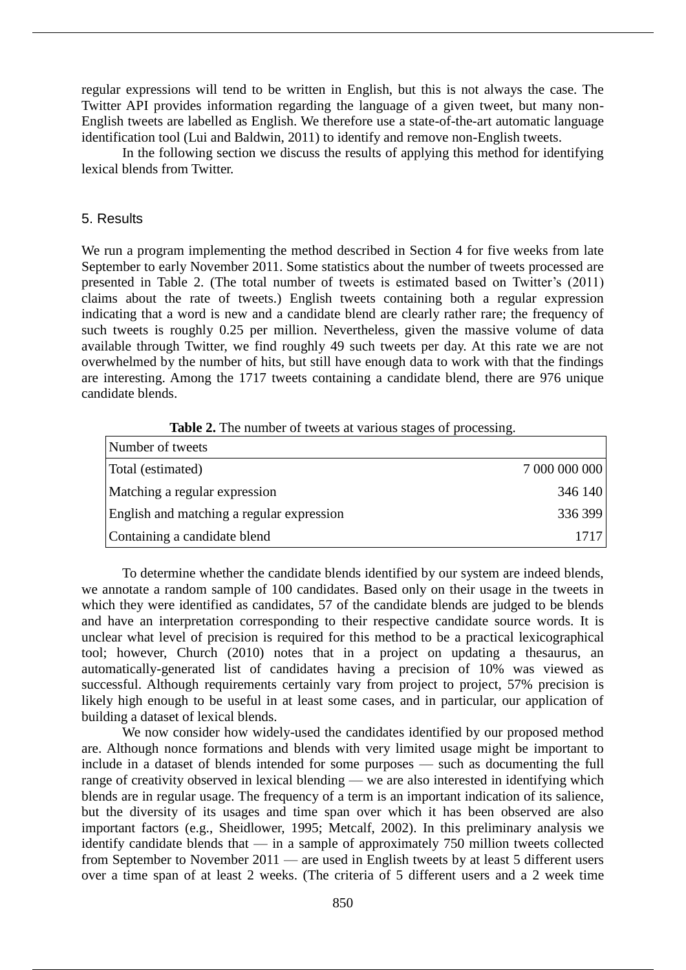regular expressions will tend to be written in English, but this is not always the case. The Twitter API provides information regarding the language of a given tweet, but many non-English tweets are labelled as English. We therefore use a state-of-the-art automatic language identification tool (Lui and Baldwin, 2011) to identify and remove non-English tweets.

In the following section we discuss the results of applying this method for identifying lexical blends from Twitter.

#### 5. Results

We run a program implementing the method described in Section 4 for five weeks from late September to early November 2011. Some statistics about the number of tweets processed are presented in Table 2. (The total number of tweets is estimated based on Twitter's (2011) claims about the rate of tweets.) English tweets containing both a regular expression indicating that a word is new and a candidate blend are clearly rather rare; the frequency of such tweets is roughly 0.25 per million. Nevertheless, given the massive volume of data available through Twitter, we find roughly 49 such tweets per day. At this rate we are not overwhelmed by the number of hits, but still have enough data to work with that the findings are interesting. Among the 1717 tweets containing a candidate blend, there are 976 unique candidate blends.

| Number of tweets                          |               |
|-------------------------------------------|---------------|
| Total (estimated)                         | 7 000 000 000 |
| Matching a regular expression             | 346 140       |
| English and matching a regular expression | 336 399       |
| Containing a candidate blend              | 1717          |

**Table 2.** The number of tweets at various stages of processing.

To determine whether the candidate blends identified by our system are indeed blends, we annotate a random sample of 100 candidates. Based only on their usage in the tweets in which they were identified as candidates, 57 of the candidate blends are judged to be blends and have an interpretation corresponding to their respective candidate source words. It is unclear what level of precision is required for this method to be a practical lexicographical tool; however, Church (2010) notes that in a project on updating a thesaurus, an automatically-generated list of candidates having a precision of 10% was viewed as successful. Although requirements certainly vary from project to project, 57% precision is likely high enough to be useful in at least some cases, and in particular, our application of building a dataset of lexical blends.

We now consider how widely-used the candidates identified by our proposed method are. Although nonce formations and blends with very limited usage might be important to include in a dataset of blends intended for some purposes — such as documenting the full range of creativity observed in lexical blending — we are also interested in identifying which blends are in regular usage. The frequency of a term is an important indication of its salience, but the diversity of its usages and time span over which it has been observed are also important factors (e.g., Sheidlower, 1995; Metcalf, 2002). In this preliminary analysis we identify candidate blends that — in a sample of approximately 750 million tweets collected from September to November 2011 — are used in English tweets by at least 5 different users over a time span of at least 2 weeks. (The criteria of 5 different users and a 2 week time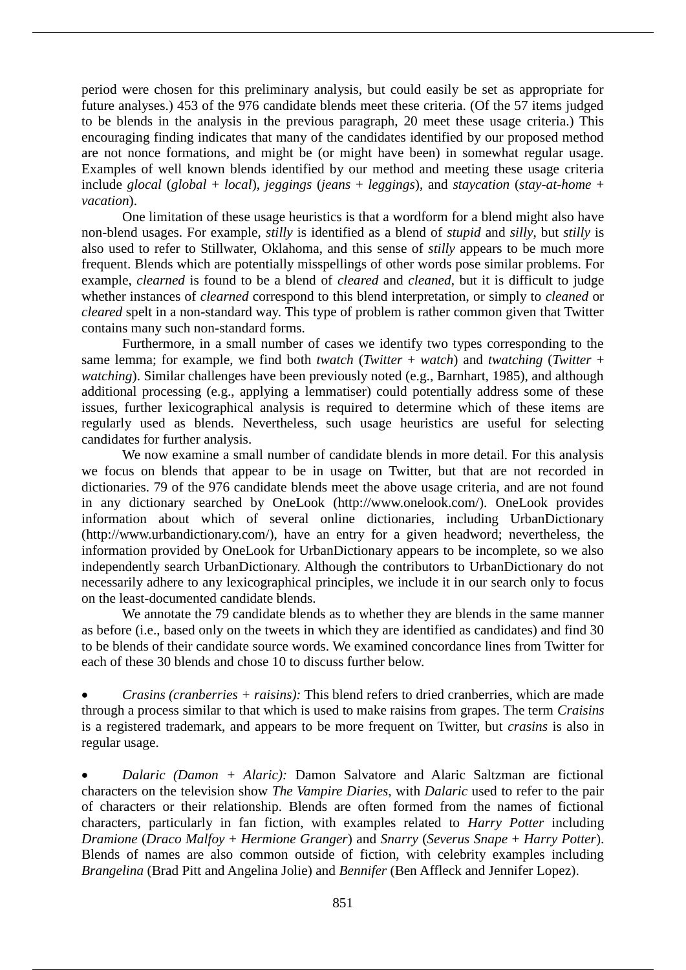period were chosen for this preliminary analysis, but could easily be set as appropriate for future analyses.) 453 of the 976 candidate blends meet these criteria. (Of the 57 items judged to be blends in the analysis in the previous paragraph, 20 meet these usage criteria.) This encouraging finding indicates that many of the candidates identified by our proposed method are not nonce formations, and might be (or might have been) in somewhat regular usage. Examples of well known blends identified by our method and meeting these usage criteria include *glocal* (*global* + *local*), *jeggings* (*jeans* + *leggings*), and *staycation* (*stay-at-home* + *vacation*).

One limitation of these usage heuristics is that a wordform for a blend might also have non-blend usages. For example, *stilly* is identified as a blend of *stupid* and *silly*, but *stilly* is also used to refer to Stillwater, Oklahoma, and this sense of *stilly* appears to be much more frequent. Blends which are potentially misspellings of other words pose similar problems. For example, *clearned* is found to be a blend of *cleared* and *cleaned*, but it is difficult to judge whether instances of *clearned* correspond to this blend interpretation, or simply to *cleaned* or *cleared* spelt in a non-standard way. This type of problem is rather common given that Twitter contains many such non-standard forms.

Furthermore, in a small number of cases we identify two types corresponding to the same lemma; for example, we find both *twatch* (*Twitter* + *watch*) and *twatching* (*Twitter* + *watching*). Similar challenges have been previously noted (e.g., Barnhart, 1985), and although additional processing (e.g., applying a lemmatiser) could potentially address some of these issues, further lexicographical analysis is required to determine which of these items are regularly used as blends. Nevertheless, such usage heuristics are useful for selecting candidates for further analysis.

We now examine a small number of candidate blends in more detail. For this analysis we focus on blends that appear to be in usage on Twitter, but that are not recorded in dictionaries. 79 of the 976 candidate blends meet the above usage criteria, and are not found in any dictionary searched by OneLook (http://www.onelook.com/). OneLook provides information about which of several online dictionaries, including UrbanDictionary (http://www.urbandictionary.com/), have an entry for a given headword; nevertheless, the information provided by OneLook for UrbanDictionary appears to be incomplete, so we also independently search UrbanDictionary. Although the contributors to UrbanDictionary do not necessarily adhere to any lexicographical principles, we include it in our search only to focus on the least-documented candidate blends.

We annotate the 79 candidate blends as to whether they are blends in the same manner as before (i.e., based only on the tweets in which they are identified as candidates) and find 30 to be blends of their candidate source words. We examined concordance lines from Twitter for each of these 30 blends and chose 10 to discuss further below.

 *Crasins (cranberries + raisins):* This blend refers to dried cranberries, which are made through a process similar to that which is used to make raisins from grapes. The term *Craisins* is a registered trademark, and appears to be more frequent on Twitter, but *crasins* is also in regular usage.

 *Dalaric (Damon + Alaric):* Damon Salvatore and Alaric Saltzman are fictional characters on the television show *The Vampire Diaries*, with *Dalaric* used to refer to the pair of characters or their relationship. Blends are often formed from the names of fictional characters, particularly in fan fiction, with examples related to *Harry Potter* including *Dramione* (*Draco Malfoy* + *Hermione Granger*) and *Snarry* (*Severus Snape* + *Harry Potter*). Blends of names are also common outside of fiction, with celebrity examples including *Brangelina* (Brad Pitt and Angelina Jolie) and *Bennifer* (Ben Affleck and Jennifer Lopez).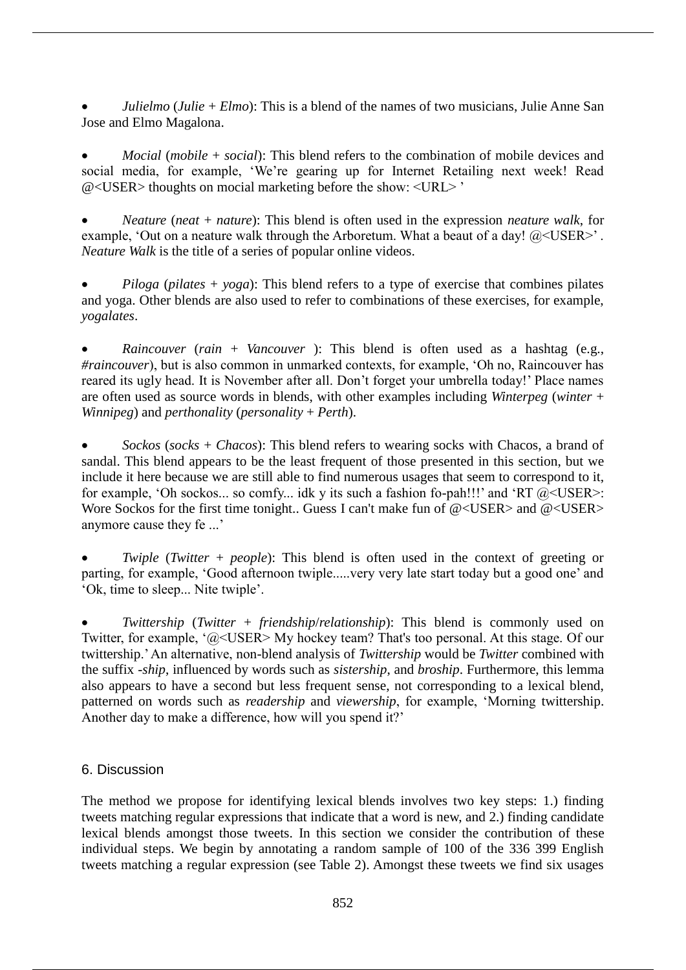*Julielmo* (*Julie* + *Elmo*): This is a blend of the names of two musicians, Julie Anne San Jose and Elmo Magalona.

 *Mocial* (*mobile* + *social*): This blend refers to the combination of mobile devices and social media, for example, 'We're gearing up for Internet Retailing next week! Read @<USER> thoughts on mocial marketing before the show: <URL> '

 *Neature* (*neat* + *nature*): This blend is often used in the expression *neature walk*, for example, 'Out on a neature walk through the Arboretum. What a beaut of a day!  $@<sub>1</sub> \& SSER>$ '. *Neature Walk* is the title of a series of popular online videos.

 *Piloga* (*pilates* + *yoga*): This blend refers to a type of exercise that combines pilates and yoga. Other blends are also used to refer to combinations of these exercises, for example, *yogalates*.

 *Raincouver* (*rain* + *Vancouver* ): This blend is often used as a hashtag (e.g., *#raincouver*), but is also common in unmarked contexts, for example, 'Oh no, Raincouver has reared its ugly head. It is November after all. Don't forget your umbrella today!' Place names are often used as source words in blends, with other examples including *Winterpeg* (*winter* + *Winnipeg*) and *perthonality* (*personality* + *Perth*).

 *Sockos* (*socks* + *Chacos*): This blend refers to wearing socks with Chacos, a brand of sandal. This blend appears to be the least frequent of those presented in this section, but we include it here because we are still able to find numerous usages that seem to correspond to it, for example, 'Oh sockos... so comfy... idk y its such a fashion fo-pah!!!' and 'RT @<USER>: Wore Sockos for the first time tonight.. Guess I can't make fun of  $@<sub>USER></sub>$  and  $@<sub>USER></sub>$ anymore cause they fe ...'

 *Twiple* (*Twitter* + *people*): This blend is often used in the context of greeting or parting, for example, 'Good afternoon twiple.....very very late start today but a good one' and 'Ok, time to sleep... Nite twiple'.

 *Twittership* (*Twitter* + *friendship*/*relationship*): This blend is commonly used on Twitter, for example, '@<USER> My hockey team? That's too personal. At this stage. Of our twittership.' An alternative, non-blend analysis of *Twittership* would be *Twitter* combined with the suffix *-ship*, influenced by words such as *sistership*, and *broship*. Furthermore, this lemma also appears to have a second but less frequent sense, not corresponding to a lexical blend, patterned on words such as *readership* and *viewership*, for example, 'Morning twittership. Another day to make a difference, how will you spend it?'

# 6. Discussion

The method we propose for identifying lexical blends involves two key steps: 1.) finding tweets matching regular expressions that indicate that a word is new, and 2.) finding candidate lexical blends amongst those tweets. In this section we consider the contribution of these individual steps. We begin by annotating a random sample of 100 of the 336 399 English tweets matching a regular expression (see Table 2). Amongst these tweets we find six usages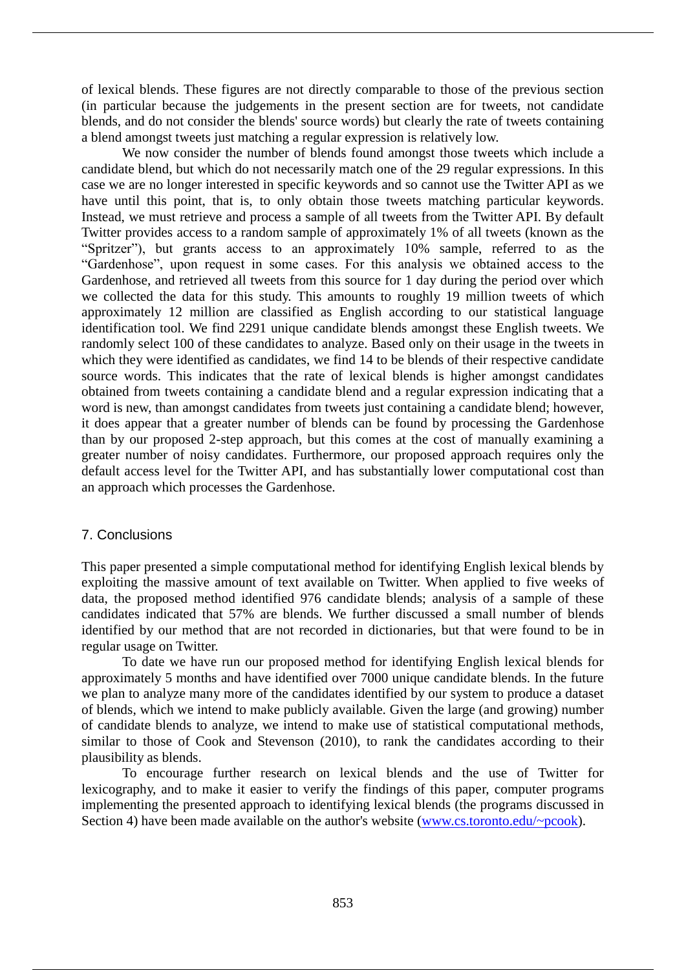of lexical blends. These figures are not directly comparable to those of the previous section (in particular because the judgements in the present section are for tweets, not candidate blends, and do not consider the blends' source words) but clearly the rate of tweets containing a blend amongst tweets just matching a regular expression is relatively low.

We now consider the number of blends found amongst those tweets which include a candidate blend, but which do not necessarily match one of the 29 regular expressions. In this case we are no longer interested in specific keywords and so cannot use the Twitter API as we have until this point, that is, to only obtain those tweets matching particular keywords. Instead, we must retrieve and process a sample of all tweets from the Twitter API. By default Twitter provides access to a random sample of approximately 1% of all tweets (known as the "Spritzer"), but grants access to an approximately 10% sample, referred to as the "Gardenhose", upon request in some cases. For this analysis we obtained access to the Gardenhose, and retrieved all tweets from this source for 1 day during the period over which we collected the data for this study. This amounts to roughly 19 million tweets of which approximately 12 million are classified as English according to our statistical language identification tool. We find 2291 unique candidate blends amongst these English tweets. We randomly select 100 of these candidates to analyze. Based only on their usage in the tweets in which they were identified as candidates, we find 14 to be blends of their respective candidate source words. This indicates that the rate of lexical blends is higher amongst candidates obtained from tweets containing a candidate blend and a regular expression indicating that a word is new, than amongst candidates from tweets just containing a candidate blend; however, it does appear that a greater number of blends can be found by processing the Gardenhose than by our proposed 2-step approach, but this comes at the cost of manually examining a greater number of noisy candidates. Furthermore, our proposed approach requires only the default access level for the Twitter API, and has substantially lower computational cost than an approach which processes the Gardenhose.

## 7. Conclusions

This paper presented a simple computational method for identifying English lexical blends by exploiting the massive amount of text available on Twitter. When applied to five weeks of data, the proposed method identified 976 candidate blends; analysis of a sample of these candidates indicated that 57% are blends. We further discussed a small number of blends identified by our method that are not recorded in dictionaries, but that were found to be in regular usage on Twitter.

To date we have run our proposed method for identifying English lexical blends for approximately 5 months and have identified over 7000 unique candidate blends. In the future we plan to analyze many more of the candidates identified by our system to produce a dataset of blends, which we intend to make publicly available. Given the large (and growing) number of candidate blends to analyze, we intend to make use of statistical computational methods, similar to those of Cook and Stevenson (2010), to rank the candidates according to their plausibility as blends.

To encourage further research on lexical blends and the use of Twitter for lexicography, and to make it easier to verify the findings of this paper, computer programs implementing the presented approach to identifying lexical blends (the programs discussed in Section 4) have been made available on the author's website (www.cs.toronto.edu/~pcook).